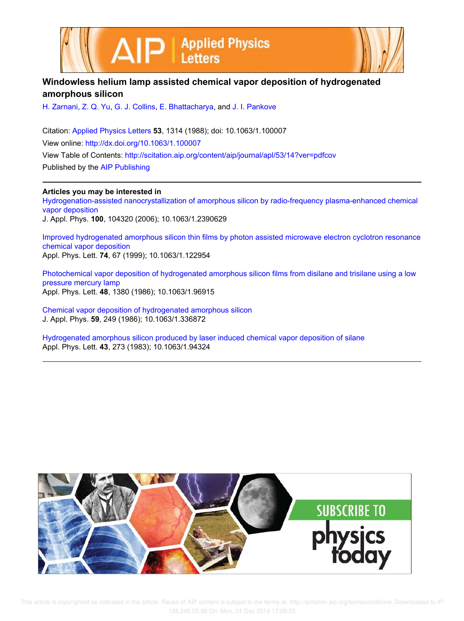



## **Windowless helium lamp assisted chemical vapor deposition of hydrogenated amorphous silicon**

H. Zarnani, Z. Q. Yu, G. J. Collins, E. Bhattacharya, and J. I. Pankove

Citation: Applied Physics Letters **53**, 1314 (1988); doi: 10.1063/1.100007 View online: http://dx.doi.org/10.1063/1.100007 View Table of Contents: http://scitation.aip.org/content/aip/journal/apl/53/14?ver=pdfcov Published by the AIP Publishing

**Articles you may be interested in**

Hydrogenation-assisted nanocrystallization of amorphous silicon by radio-frequency plasma-enhanced chemical vapor deposition J. Appl. Phys. **100**, 104320 (2006); 10.1063/1.2390629

Improved hydrogenated amorphous silicon thin films by photon assisted microwave electron cyclotron resonance chemical vapor deposition Appl. Phys. Lett. **74**, 67 (1999); 10.1063/1.122954

Photochemical vapor deposition of hydrogenated amorphous silicon films from disilane and trisilane using a low pressure mercury lamp Appl. Phys. Lett. **48**, 1380 (1986); 10.1063/1.96915

Chemical vapor deposition of hydrogenated amorphous silicon J. Appl. Phys. **59**, 249 (1986); 10.1063/1.336872

Hydrogenated amorphous silicon produced by laser induced chemical vapor deposition of silane Appl. Phys. Lett. **43**, 273 (1983); 10.1063/1.94324



 This article is copyrighted as indicated in the article. Reuse of AIP content is subject to the terms at: http://scitation.aip.org/termsconditions. Downloaded to IP: 128.248.55.98 On: Mon, 01 Dec 2014 17:09:55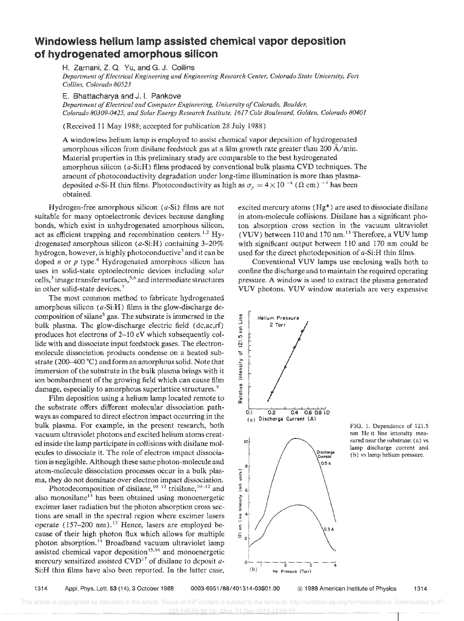## Windowless helium assisted chemical vapor deposition of hydrogenated amorphous silicon

H. Zamani, Z. Q, Yu, and G. J. Collins

*Departmellt of Electrical Engineering and Engineering Research Center, Colorado State University, Fort Collins, Colorado 80523* 

E. Bhattacharya and J. L Pankove

*Department of Electrical and Computer Engineering, University of Colorado, Boulder, Colorado 80309-0425. and Solar Energy Research Institute,* 1617 *Cole Boulevard, Golden, Colorado 80401* 

(Received 11 May 1988; accepted for publication 28 July 1988)

A windowless helium lamp is employed to assist chemical vapor deposition of hydrogenated amorphous silicon from disilane feedstock gas at a film growth rate greater than 200 A/min. Material properties in this preliminary study are comparable to the best hydrogenated amorphous silicon (a-Si:H) films produced by conventional bulk plasma CVD techniques. The amount of photoconductivity degradation under long-time illumination is more than plasmadeposited a-Si-H thin films. Photoconductivity as high as  $\sigma_p = 4 \times 10^{-4}$  ( $\Omega$  cm)<sup>-1</sup> has been obtained.

Hydrogen-free amorphous silicon  $(a-Si)$  films are not suitable for many optoelectronic devices because dangling bonds, which exist in unhydrogenated amorphous silicon, act as efficient trapping and recombination centers.<sup>1,2</sup> Hydrogenated amorphous silicon (a-Si:H) containing 3-20% hydrogen, however, is highly photoconductive<sup>3</sup> and it can be doped *n* or *p* type.<sup>4</sup> Hydrogenated amorphous silicon has uses in solid-state optoelectronic devices including solar cells, $3$  image transfer surfaces,  $5.6$  and intermediate structures in other solid-state devices.<sup>7</sup>

The most common method to fabricate hydrogenated amorphous silicon  $(a\text{-Si:H})$  films is the glow-discharge decomposition of silane<sup>8</sup> gas. The substrate is immersed in the bulk plasma. The glow-discharge electric field (dc,ac,rf) produces hot electrons of 2-10 eV which subsequently collide with and dissociate input feedstock gases. The electronmolecule dissociation products condense on a heated substrate (200-400 °C) and form an amorphous solid. Note that immersion of the substrate in the bulk plasma brings with it ion bombardment of the growing field which can cause film damage, especially to amorphous superlattice structures.<sup>9</sup>

Film deposition using a helium lamp located remote to the substrate offers different molecular dissociation pathways as compared to direct electron impact occurring in the bulk plasma. For example, in the present research, both vacuum ultraviolet photons and excited helium atoms created inside the lamp participate in collisions with disilane molecules to dissociate it. The role of electron impact dissociation is negligible. Although these same photon-molecule and atom-molecule dissociation processes occur in a bulk plasma, they do not dominate over electron impact dissociation.

Photodecomposition of disilane,  $10-12$  trisilane,  $10-12$  and also monosilane<sup>13</sup> has been obtained using monoenergetic excimer laser radiation but the photon absorption cross sections are small in the spectral region where excimer lasers operate  $(157-200 \text{ nm})$ .<sup>13</sup> Hence, lasers are employed because of their high photon flux which allows for multiple photon absorption.<sup>14</sup> Broadband vacuum ultraviolet lamp assisted chemical vapor deposition<sup>15,16</sup> and monoenergetic mercury sensitized assisted CVD<sup>17</sup> of disilane to deposit  $a$ -Si:H thin films have also been reported. In the latter case,

excited mercury atoms (Hg\*) are used to dissociate disilane in atom-moiecule collisions. Disilane has a significant photon absorption cross section in the vacuum ultraviolet (VUV) between 110 and 170 nm.<sup>13</sup> Therefore, a VUV lamp with significant output between 110 and 170 nm could be used for the direct photodeposition of a-Si:H thin films.

Conventional VUV lamps use enclosing walls both to confine the discharge and to maintain the required operating pressure. A window is used to extract the plasma generated VUV photons. VUV window materials are very expensive



FIG. 1. Dependence of 121.5 nm He II line intensity measured near the substrate: (a) vs lamp discharge current and (b) vs lamp helium pressure.

1314 Appl. Phys. Lett. 53 (14), 3 October 1988 0003-6951/88/401314-03\$01.00 (C) 1988 American Institute of Physics 1314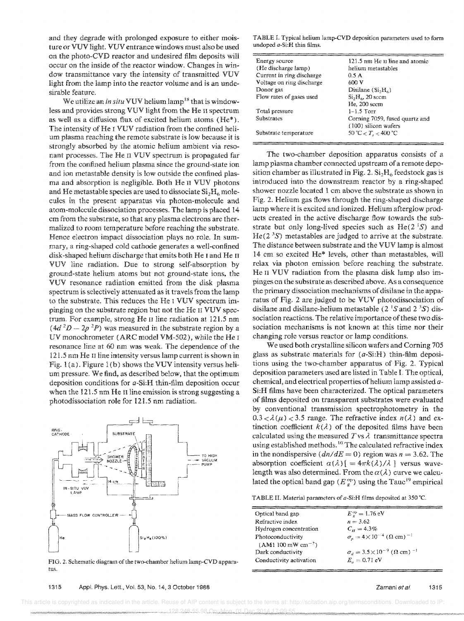and they degrade with prolonged exposure to either moisture or VUV light. VUV entrance windows must also be used on the photo-CVD reactor and undesired film deposits will occur on the inside of the reactor window. Changes in window transmittance vary the intensity of transmitted VUV light from the lamp into the reactor volume and is an undesirable feature.

We utilize an *in situ* VUV helium lamp<sup>18</sup> that is windowless and provides strong VUV light from the He II spectrum as well as a diffusion flux of excited helium atoms (He\*). The intensity of He I VUV radiation from the confined helium plasma reaching the remote substrate is low because it is strongly absorbed by the atomic helium ambient via resonant processes. The He n VUV spectrum is propagated far from the confined helium plasma since the ground-state ion and ion metastable density is low outside the confined plasma and absorption is negligible. Both He n VUV photons and He metastable species are used to dissociate  $Si<sub>2</sub>H<sub>6</sub>$  molecules in the present apparatus via photon-molecule and atom-molecule dissociation processes. The lamp is placed 14 cm from the substrate, so that any plasma electrons are thermaIized to room temperature before reaching the substrate. Hence electron impact dissociation plays no role. In summary, a ring-shaped cold cathode generates a well-confined disk-shaped helium discharge that emits both He I and He II VUV line radiation. Due to strong self-absorption by ground-state helium atoms but not ground-state ions, the VUV resonance radiation emitted from the disk plasma spectrum is selectively attenuated as it traveis from the lamp to the substrate. This reduces the He I VUV spectrum impinging on the substrate region but not the He n VUV spectrum. For example, strong He II line radiation at 121.5 mn  $(4d^2D - 2p^2P)$  was measured in the substrate region by a UV monochrometer (ARC model VM-502), while the He <sup>I</sup> resonance line at 60 nm was weak. The dependence of the 121.5 nm He II line intensity versus lamp current is shown in Fig.  $1(a)$ . Figure 1(b) shows the VUV intensity versus helium pressure. We find, as described below, that the optimum deposition conditions for a-Si:H thin-film deposition occur when the 121.5 nm He II line emission is strong suggesting a photodissociation role for 121.5 nm radiation.



FIG. 2. Schematic diagram of the two-chamber helium lamp-CVD apparatus.

1315 Appl. Phys. Lett., Vol. 53, No. 14, 3 October 1988

TABLE I. Typical helium lamp-CVD deposition parameters used to fom] undoped a-Si:H thin films.

| Energy source             | 121.5 nm He II line and atomic |  |  |  |
|---------------------------|--------------------------------|--|--|--|
| (He discharge lamp)       | helium metastables             |  |  |  |
| Current in ring discharge | 0.5 A                          |  |  |  |
| Voltage on ring discharge | 600 V                          |  |  |  |
| Donor gas                 | Disilane $(S_i,H_6)$           |  |  |  |
| Flow rates of gases used  | $Si2H4$ , 20 sccm              |  |  |  |
|                           | He, 200 sccm                   |  |  |  |
| Total pressure            | $1 - 1.5$ Torr                 |  |  |  |
| Substrates                | Corning 7059, fused quartz and |  |  |  |
|                           | (100) silicon wafers           |  |  |  |
| Substrate temperature     | 50 °C $< T_{c} < 400$ °C       |  |  |  |
|                           |                                |  |  |  |

The two-chamber deposition apparatus consists of a lamp plasma chamber connected upstream of a remote deposition chamber as illustrated in Fig. 2. Si<sub>2</sub>H<sub>6</sub> feedstock gas is introduced into the downstream reactor by a ring-shaped shower nozzle located 1 em above the substrate as shown in Fig. 2. Helium gas flows through the ring-shaped discharge lamp where it is excited and ionized. Helium afterglow products created in the active discharge flow towards the substrate but only long-lived species such as  $He(2<sup>1</sup>S)$  and  $He(2<sup>3</sup>S)$  metastables are judged to arrive at the substrate. The distance between substrate and the VUV lamp is almost 14 cm so excited He\* levels, other than metastables, will relax via photon emission before reaching the substrate. He II VUV radiation from the plasma disk lamp also impinges on the substrate as described above. As a consequence the primary dissociation mechanisms of disilane in the apparatus of Fig. 2 are judged to be VUV photodissociation of disilane and disilane-helium metastable (2  $\text{S}$  and 2  $\text{S}$ ) dissociation reactions. The relative importance of these two dissociation mechanisms is not known at this time nor their changing yole versus reactor or lamp conditions.

We used both crystalline silicon wafers and Corning 705 glass as substrate materials for (a-Si:H) thin-film depositions using the two-chamber apparatus of Fig. 2. Typicai deposition parameters used are listed in Table I. The optical, chemical, and electrical properties of helium lamp assisted  $a$ -Si:H films have been characterized. The optical parameters of films deposited on transparent substrates were evaluated by conventional transmission spectrophotometry in the  $0.3 < \lambda(\mu) < 3.5$  range. The refractive index  $n(\lambda)$  and extinction coefficient  $k(\lambda)$  of the deposited films have been calculated using the measured  $T$ vs  $\lambda$  transmittance spectra using established methods.<sup>10</sup> The calculated refractive index in the nondispersive  $dn/dE = 0$ ) region was  $n = 3.62$ . The absorption coefficient  $\alpha(\lambda)$  [ = 4 $\pi k(\lambda)/\lambda$  ] versus wavelength was also determined. From the  $\alpha(\lambda)$  curve we calculated the optical band gap ( $E_g^{\text{op}}$ ) using the Tauc<sup>19</sup> empirical

TABLE II. Material parameters of  $a$ -Si:H films deposited at 350 °C.

| Optical band gap        | $E_r^{\rm op} = 1.76$ eV                                     |
|-------------------------|--------------------------------------------------------------|
| Refractive index        | $n = 3.62$                                                   |
| Hydrogen concentration  | $C_u = 4.3\%$                                                |
| Photoconductivity       | $\sigma_n = 4 \times 10^{-4}$ ( $\Omega$ cm) <sup>-1</sup>   |
| $(AM1 100 mW cm^{-2})$  |                                                              |
| Dark conductivity       | $\sigma_d = 3.5 \times 10^{-9}$ ( $\Omega$ cm) <sup>-1</sup> |
| Conductivity activation | $E_{\rm c} = 0.71 \text{ eV}$                                |
|                         |                                                              |

**......•. ' .... ;:.:.:.:.:;:.:.:.:.:.;.;0:.;.-;.;.; ... ; ... ; ...**...... ........ ' .•••• > ••• •**• '.' ••• ";" ••••••• -.-.-••• -.--.** " •••••• , ••• • " This article is copyrighted as indicated in the article. Reuse of AIP content is subject to the terms at: http://scitation.aip.org/termsconditions. Downloaded to IP 128.248.55.98 On: Mon, 01 Dec 2014 17:09:55